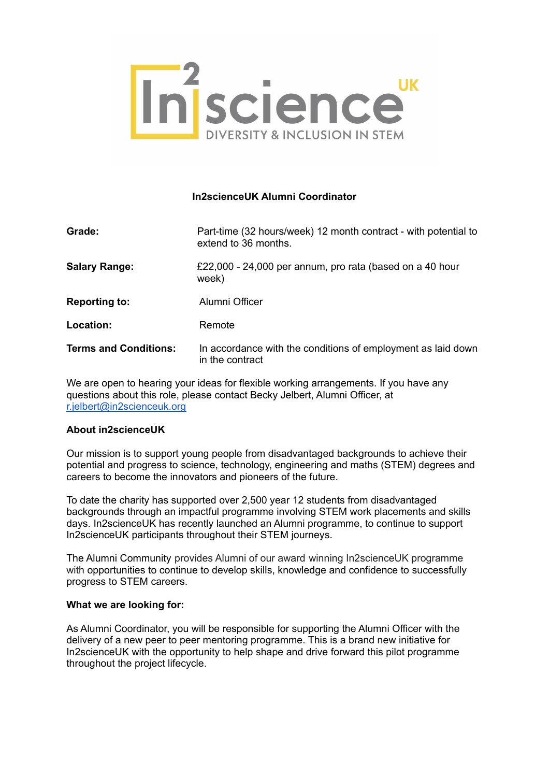

# **In2scienceUK Alumni Coordinator**

| Grade:                       | Part-time (32 hours/week) 12 month contract - with potential to<br>extend to 36 months. |
|------------------------------|-----------------------------------------------------------------------------------------|
| <b>Salary Range:</b>         | £22,000 - 24,000 per annum, pro rata (based on a 40 hour<br>week)                       |
| <b>Reporting to:</b>         | Alumni Officer                                                                          |
| Location:                    | Remote                                                                                  |
| <b>Terms and Conditions:</b> | In accordance with the conditions of employment as laid down<br>in the contract         |

We are open to hearing your ideas for flexible working arrangements. If you have any questions about this role, please contact Becky Jelbert, Alumni Officer, at [r.jelbert@in2scienceuk.org](mailto:r.jelbert@in2scienceuk.org)

# **About in2scienceUK**

Our mission is to support young people from disadvantaged backgrounds to achieve their potential and progress to science, technology, engineering and maths (STEM) degrees and careers to become the innovators and pioneers of the future.

To date the charity has supported over 2,500 year 12 students from disadvantaged backgrounds through an impactful programme involving STEM work placements and skills days. In2scienceUK has recently launched an Alumni programme, to continue to support In2scienceUK participants throughout their STEM journeys.

The Alumni Community provides Alumni of our award winning In2scienceUK programme with opportunities to continue to develop skills, knowledge and confidence to successfully progress to STEM careers.

#### **What we are looking for:**

As Alumni Coordinator, you will be responsible for supporting the Alumni Officer with the delivery of a new peer to peer mentoring programme. This is a brand new initiative for In2scienceUK with the opportunity to help shape and drive forward this pilot programme throughout the project lifecycle.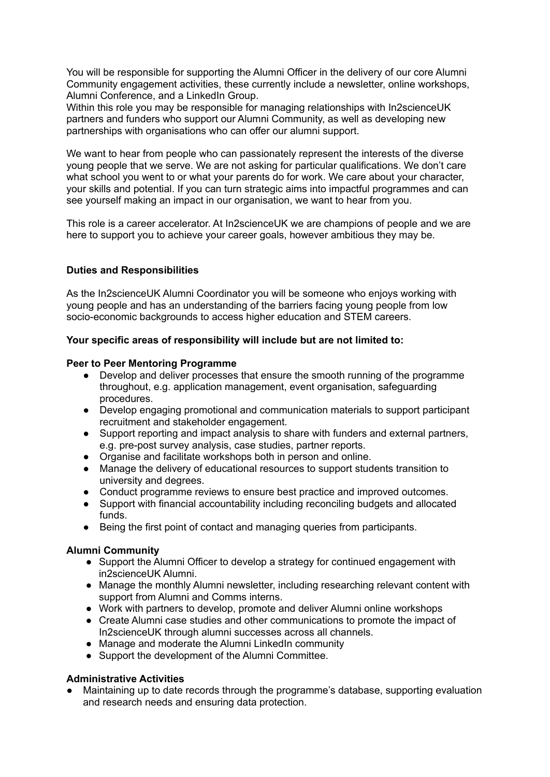You will be responsible for supporting the Alumni Officer in the delivery of our core Alumni Community engagement activities, these currently include a newsletter, online workshops, Alumni Conference, and a LinkedIn Group.

Within this role you may be responsible for managing relationships with In2scienceUK partners and funders who support our Alumni Community, as well as developing new partnerships with organisations who can offer our alumni support.

We want to hear from people who can passionately represent the interests of the diverse young people that we serve. We are not asking for particular qualifications. We don't care what school you went to or what your parents do for work. We care about your character, your skills and potential. If you can turn strategic aims into impactful programmes and can see yourself making an impact in our organisation, we want to hear from you.

This role is a career accelerator. At In2scienceUK we are champions of people and we are here to support you to achieve your career goals, however ambitious they may be.

# **Duties and Responsibilities**

As the In2scienceUK Alumni Coordinator you will be someone who enjoys working with young people and has an understanding of the barriers facing young people from low socio-economic backgrounds to access higher education and STEM careers.

# **Your specific areas of responsibility will include but are not limited to:**

## **Peer to Peer Mentoring Programme**

- Develop and deliver processes that ensure the smooth running of the programme throughout, e.g. application management, event organisation, safeguarding procedures.
- Develop engaging promotional and communication materials to support participant recruitment and stakeholder engagement.
- Support reporting and impact analysis to share with funders and external partners, e.g. pre-post survey analysis, case studies, partner reports.
- Organise and facilitate workshops both in person and online.
- Manage the delivery of educational resources to support students transition to university and degrees.
- Conduct programme reviews to ensure best practice and improved outcomes.
- Support with financial accountability including reconciling budgets and allocated funds.
- Being the first point of contact and managing queries from participants.

# **Alumni Community**

- Support the Alumni Officer to develop a strategy for continued engagement with in2scienceUK Alumni.
- Manage the monthly Alumni newsletter, including researching relevant content with support from Alumni and Comms interns.
- Work with partners to develop, promote and deliver Alumni online workshops
- Create Alumni case studies and other communications to promote the impact of In2scienceUK through alumni successes across all channels.
- Manage and moderate the Alumni LinkedIn community
- Support the development of the Alumni Committee.

# **Administrative Activities**

Maintaining up to date records through the programme's database, supporting evaluation and research needs and ensuring data protection.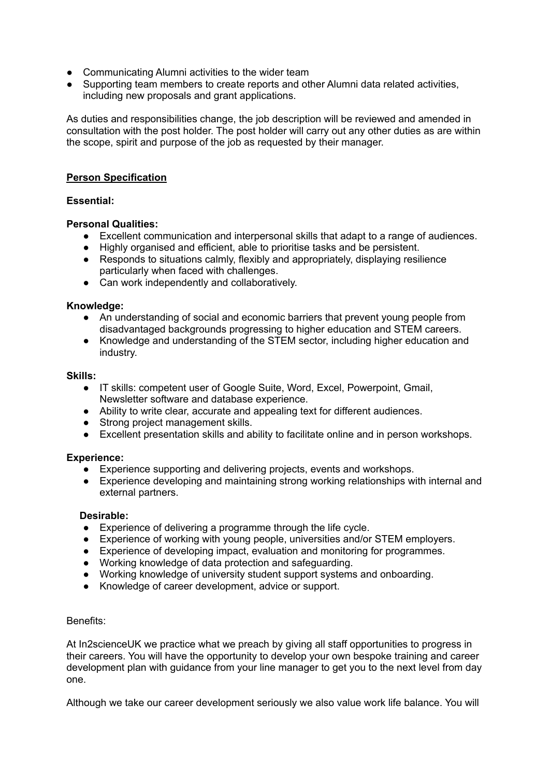- Communicating Alumni activities to the wider team
- Supporting team members to create reports and other Alumni data related activities, including new proposals and grant applications.

As duties and responsibilities change, the job description will be reviewed and amended in consultation with the post holder. The post holder will carry out any other duties as are within the scope, spirit and purpose of the job as requested by their manager.

# **Person Specification**

# **Essential:**

# **Personal Qualities:**

- Excellent communication and interpersonal skills that adapt to a range of audiences.
- Highly organised and efficient, able to prioritise tasks and be persistent.
- Responds to situations calmly, flexibly and appropriately, displaying resilience particularly when faced with challenges.
- Can work independently and collaboratively.

## **Knowledge:**

- An understanding of social and economic barriers that prevent young people from disadvantaged backgrounds progressing to higher education and STEM careers.
- Knowledge and understanding of the STEM sector, including higher education and industry.

#### **Skills:**

- IT skills: competent user of Google Suite, Word, Excel, Powerpoint, Gmail, Newsletter software and database experience.
- Ability to write clear, accurate and appealing text for different audiences.
- Strong project management skills.
- Excellent presentation skills and ability to facilitate online and in person workshops.

# **Experience:**

- Experience supporting and delivering projects, events and workshops.
- Experience developing and maintaining strong working relationships with internal and external partners.

# **Desirable:**

- Experience of delivering a programme through the life cycle.
- Experience of working with young people, universities and/or STEM employers.
- Experience of developing impact, evaluation and monitoring for programmes.
- Working knowledge of data protection and safeguarding.
- Working knowledge of university student support systems and onboarding.
- Knowledge of career development, advice or support.

## Benefits:

At In2scienceUK we practice what we preach by giving all staff opportunities to progress in their careers. You will have the opportunity to develop your own bespoke training and career development plan with guidance from your line manager to get you to the next level from day one.

Although we take our career development seriously we also value work life balance. You will